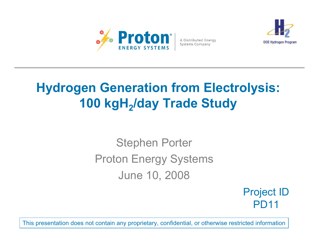

A Distributed Energy Systems Company



# **Hydrogen Generation from Electrolysis: 100 kgH <sup>2</sup>/day Trade Study**

# Stephen Porter Proton Energy Systems June 10, 2008

Project ID PD11

This presentation does not contain any proprietary, confidential, or otherwise restricted information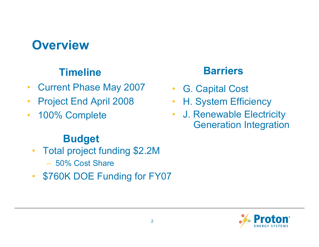## **Overview**

#### **Timeline**

- $\bullet$ Current Phase May 2007
- •Project End April 2008
- $\bullet$ 100% Complete

#### **Budget**

- • Total project funding \$2.2M – 50% Cost Share
- $\bullet$ \$760K DOE Funding for FY07

#### **Barriers**

- •G. Capital Cost
- •H. System Efficiency
- $\bullet$  J. Renewable Electricity Generation Integration

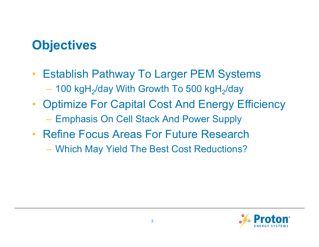# **Objectives**

- $\bullet$  Establish Pathway To Larger PEM Systems  $-$  100 kgH $_{\rm 2}$ /day With Growth To 500 kgH $_{\rm 2}$ /day
- $\bullet$  Optimize For Capital Cost And Energy Efficiency Emphasis On Cell Stack And Power Supply
- $\bullet$  Refine Focus Areas For Future Research
	- Which May Yield The Best Cost Reductions?

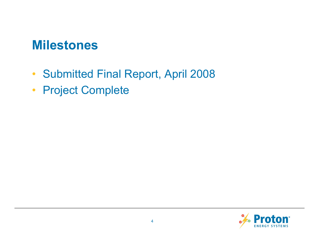#### **Milestones**

- $\bullet$ Submitted Final Report, April 2008
- Project Complete

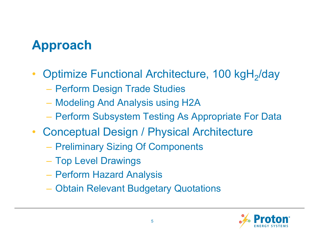# **Approach**

- $\bullet$ Optimize Functional Architecture, 100 kgH<sub>2</sub>/day
	- Perform Design Trade Studies
	- Modeling And Analysis using H2A
	- Perform Subsystem Testing As Appropriate For Data
- $\bullet$  Conceptual Design / Physical Architecture
	- **Preliminary Sizing Of Components**
	- Top Level Drawings
	- Perform Hazard Analysis
	- Obtain Relevant Budgetary Quotations

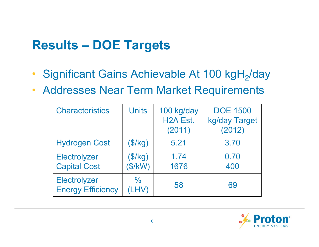# **Results – DOE Targets**

- $\bullet$ Significant Gains Achievable At 100 kgH<sub>2</sub>/day
- $\bullet$ Addresses Near Term Market Requirements

| <b>Characteristics</b>                     | <b>Units</b>           | 100 kg/day<br>H <sub>2</sub> A Est.<br>(2011) | <b>DOE 1500</b><br>kg/day Target<br>(2012) |
|--------------------------------------------|------------------------|-----------------------------------------------|--------------------------------------------|
| <b>Hydrogen Cost</b>                       | (\$/kg)                | 5.21                                          | 3.70                                       |
| <b>Electrolyzer</b><br><b>Capital Cost</b> | (\$/kg)<br>\$/kW)      | 1.74<br>1676                                  | 0.70<br>400                                |
| Electrolyzer<br><b>Energy Efficiency</b>   | $\frac{0}{0}$<br>(LHV) | 58                                            | 69                                         |

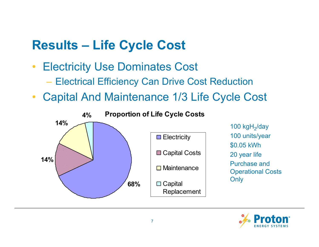## **Results – Life Cycle Cost**

- • Electricity Use Dominates Cost
	- Electrical Efficiency Can Drive Cost Reduction
- $\bullet$ Capital And Maintenance 1/3 Life Cycle Cost



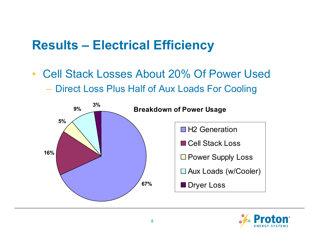### **Results – Electrical Efficiency**

 $\bullet$  Cell Stack Losses About 20% Of Power Used Direct Loss Plus Half of Aux Loads For Cooling



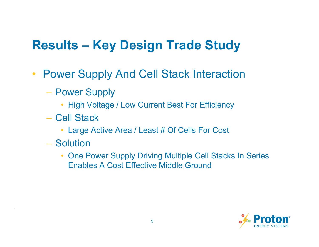# **Results – Key Design Trade Study**

- $\bullet$  Power Supply And Cell Stack Interaction
	- **Power Supply** 
		- High Voltage / Low Current Best For Efficiency
	- Cell Stack
		- Large Active Area / Least # Of Cells For Cost
	- Solution
		- $\bullet$  One Power Supply Driving Multiple Cell Stacks In Series Enables A Cost Effective Middle Ground

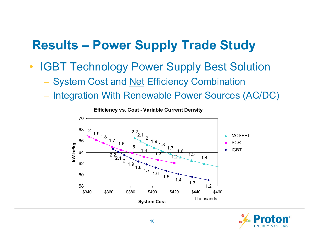### **Results – Power Supply Trade Study**

- • IGBT Technology Power Supply Best Solution
	- System Cost and <u>Net</u> Efficiency Combination
	- Integration With Renewable Power Sources (AC/DC)

**Efficiency vs. Cost - Variable Current Density**



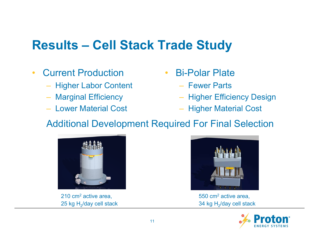## **Results – Cell Stack Trade Study**

- $\bullet$  Current Production
	- Higher Labor Content
	- Marginal Efficiency
	- Lower Material Cost
- • Bi-Polar Plate
	- Fewer Parts
	- Higher Efficiency Design
	- Higher Material Cost

#### Additional Development Required For Final Selection



210 cm<sup>2</sup> active area, 25 kg  $H<sub>2</sub>/day$  cell stack



550 cm2 active area, 34 kg  $H<sub>2</sub>/day$  cell stack

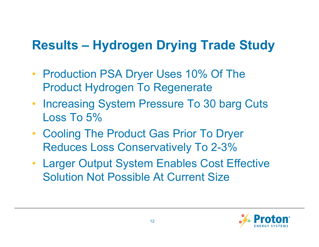## **Results – Hydrogen Drying Trade Study**

- Production PSA Dryer Uses 10% Of The Product Hydrogen To Regenerate
- Increasing System Pressure To 30 barg Cuts Loss To 5%
- Cooling The Product Gas Prior To Dryer Reduces Loss Conservatively To 2-3%
- Larger Output System Enables Cost Effective Solution Not Possible At Current Size

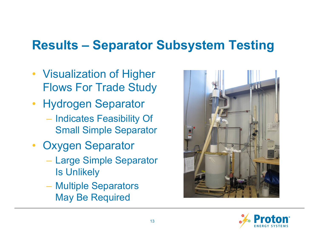### **Results – Separator Subsystem Testing**

- $\bullet$  Visualization of Higher Flows For Trade Study
- Hydrogen Separator – Indicates Feasibility Of Small Simple Separator
- Oxygen Separator
	- Large Simple Separator Is Unlikely
	- Multiple Separators May Be Required



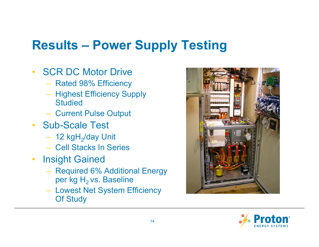# **Results – Power Supply Testing**

- $\bullet$ **SCR DC Motor Drive** 
	- Rated 98% Efficiency
	- Highest Efficiency Supply **Studied**
	- Current Pulse Output
- Sub-Scale Test
	- 12 kgH<sub>2</sub>/day Unit
	- Cell Stacks In Series
- $\bullet$  Insight Gained
	- Required 6% Additional Energy per kg  $H_2$  vs. Baseline
	- Lowest Net System Efficiency Of Study



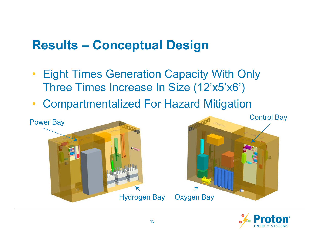### **Results – Conceptual Design**

- $\bullet$  Eight Times Generation Capacity With Only Three Times Increase In Size (12'x5'x6')
- $\bullet$ Compartmentalized For Hazard Mitigation



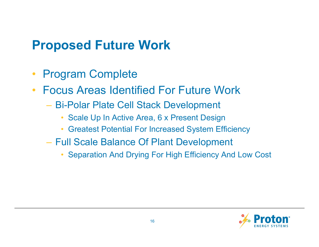### **Proposed Future Work**

- $\bullet$ Program Complete
- $\bullet$  Focus Areas Identified For Future Work
	- Bi-Polar Plate Cell Stack Development
		- •Scale Up In Active Area, 6 x Present Design
		- Greatest Potential For Increased System Efficiency
	- Full Scale Balance Of Plant Development
		- •Separation And Drying For High Efficiency And Low Cost